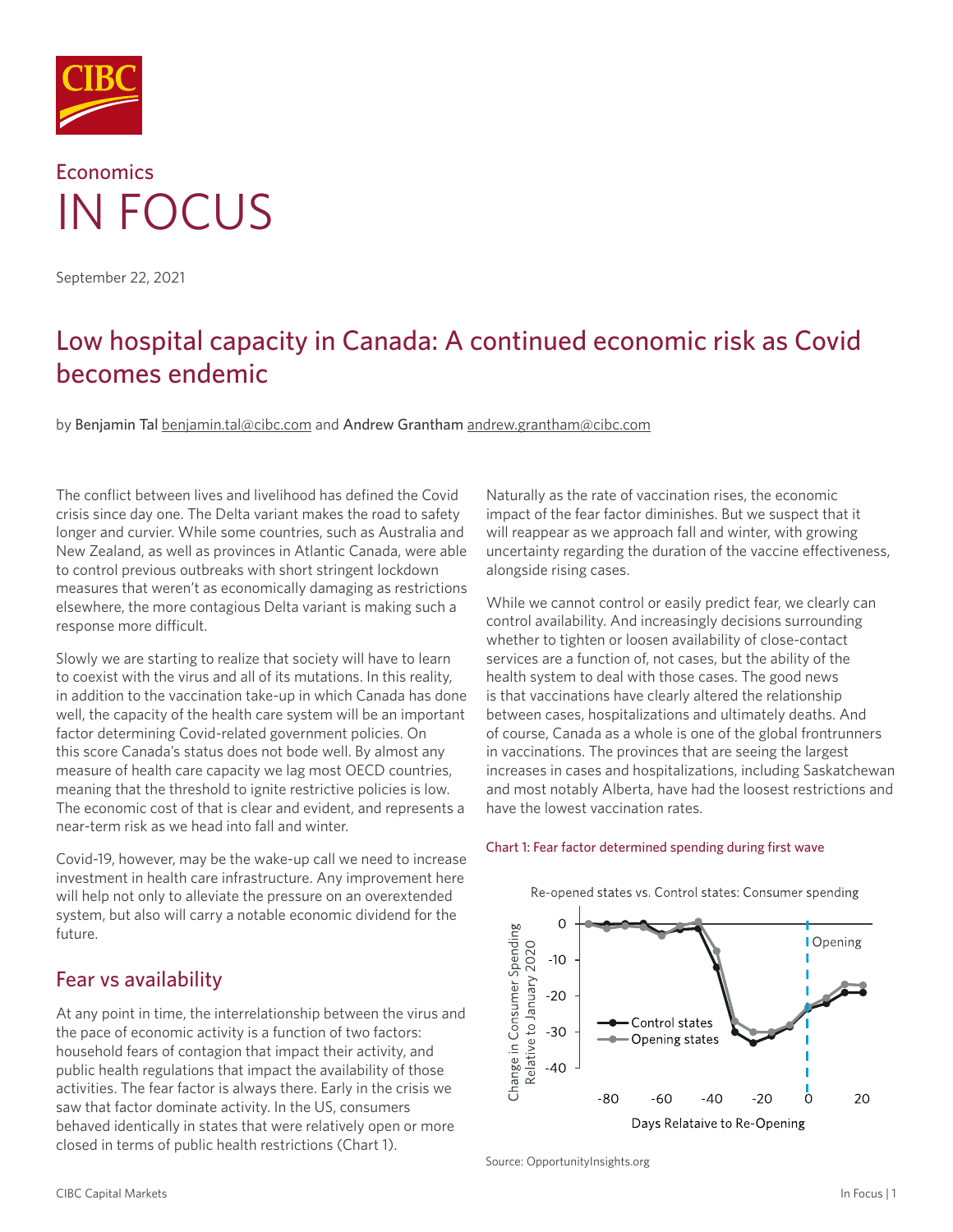

# **Economics** IN FOCUS

September 22, 2021

## Low hospital capacity in Canada: A continued economic risk as Covid becomes endemic

by Benjamin Tal [benjamin.tal@cibc.com](mailto:benjamin.tal%40cibc.com?subject=) and Andrew Grantham [andrew.grantham@cibc.com](mailto:andrew.grantham%40cibc.com?subject=)

The conflict between lives and livelihood has defined the Covid crisis since day one. The Delta variant makes the road to safety longer and curvier. While some countries, such as Australia and New Zealand, as well as provinces in Atlantic Canada, were able to control previous outbreaks with short stringent lockdown measures that weren't as economically damaging as restrictions elsewhere, the more contagious Delta variant is making such a response more difficult.

Slowly we are starting to realize that society will have to learn to coexist with the virus and all of its mutations. In this reality, in addition to the vaccination take-up in which Canada has done well, the capacity of the health care system will be an important factor determining Covid-related government policies. On this score Canada's status does not bode well. By almost any measure of health care capacity we lag most OECD countries, meaning that the threshold to ignite restrictive policies is low. The economic cost of that is clear and evident, and represents a near-term risk as we head into fall and winter.

Covid-19, however, may be the wake-up call we need to increase investment in health care infrastructure. Any improvement here will help not only to alleviate the pressure on an overextended system, but also will carry a notable economic dividend for the future.

## Fear vs availability

At any point in time, the interrelationship between the virus and the pace of economic activity is a function of two factors: household fears of contagion that impact their activity, and public health regulations that impact the availability of those activities. The fear factor is always there. Early in the crisis we saw that factor dominate activity. In the US, consumers behaved identically in states that were relatively open or more closed in terms of public health restrictions (Chart 1).

Naturally as the rate of vaccination rises, the economic impact of the fear factor diminishes. But we suspect that it will reappear as we approach fall and winter, with growing uncertainty regarding the duration of the vaccine effectiveness, alongside rising cases.

While we cannot control or easily predict fear, we clearly can control availability. And increasingly decisions surrounding whether to tighten or loosen availability of close-contact services are a function of, not cases, but the ability of the health system to deal with those cases. The good news is that vaccinations have clearly altered the relationship between cases, hospitalizations and ultimately deaths. And of course, Canada as a whole is one of the global frontrunners in vaccinations. The provinces that are seeing the largest increases in cases and hospitalizations, including Saskatchewan and most notably Alberta, have had the loosest restrictions and have the lowest vaccination rates.

#### Chart 1: Fear factor determined spending during first wave



Source: OpportunityInsights.org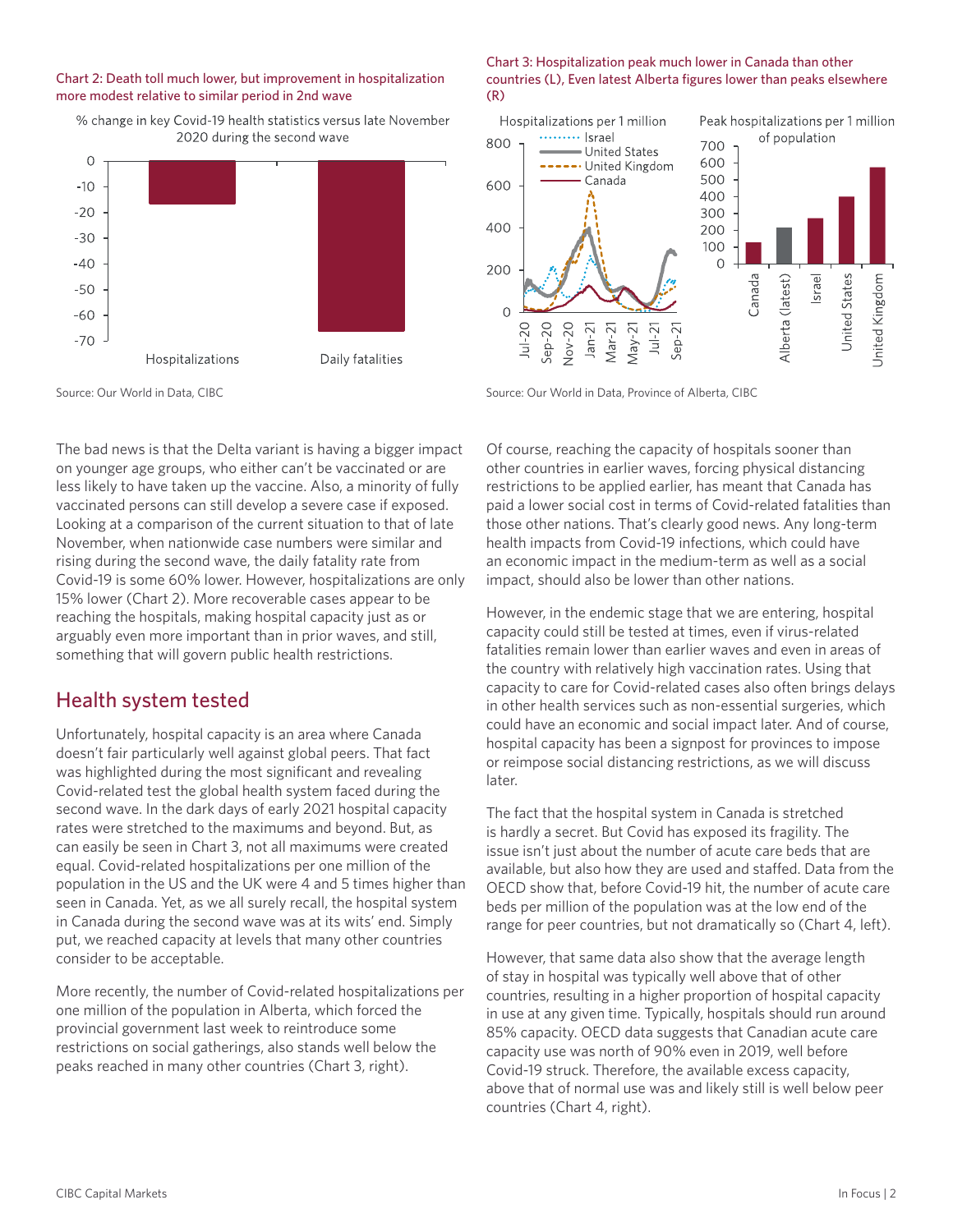#### Chart 2: Death toll much lower, but improvement in hospitalization more modest relative to similar period in 2nd wave



#### % change in key Covid-19 health statistics versus late November 2020 during the second wave

Source: Our World in Data, CIBC

The bad news is that the Delta variant is having a bigger impact on younger age groups, who either can't be vaccinated or are less likely to have taken up the vaccine. Also, a minority of fully vaccinated persons can still develop a severe case if exposed. Looking at a comparison of the current situation to that of late November, when nationwide case numbers were similar and rising during the second wave, the daily fatality rate from Covid-19 is some 60% lower. However, hospitalizations are only 15% lower (Chart 2). More recoverable cases appear to be reaching the hospitals, making hospital capacity just as or arguably even more important than in prior waves, and still, something that will govern public health restrictions.

## Health system tested

Unfortunately, hospital capacity is an area where Canada doesn't fair particularly well against global peers. That fact was highlighted during the most significant and revealing Covid-related test the global health system faced during the second wave. In the dark days of early 2021 hospital capacity rates were stretched to the maximums and beyond. But, as can easily be seen in Chart 3, not all maximums were created equal. Covid-related hospitalizations per one million of the population in the US and the UK were 4 and 5 times higher than seen in Canada. Yet, as we all surely recall, the hospital system in Canada during the second wave was at its wits' end. Simply put, we reached capacity at levels that many other countries consider to be acceptable.

More recently, the number of Covid-related hospitalizations per one million of the population in Alberta, which forced the provincial government last week to reintroduce some restrictions on social gatherings, also stands well below the peaks reached in many other countries (Chart 3, right).

#### Chart 3: Hospitalization peak much lower in Canada than other countries (L), Even latest Alberta figures lower than peaks elsewhere (R)



Source: Our World in Data, Province of Alberta, CIBC

Of course, reaching the capacity of hospitals sooner than other countries in earlier waves, forcing physical distancing restrictions to be applied earlier, has meant that Canada has paid a lower social cost in terms of Covid-related fatalities than those other nations. That's clearly good news. Any long-term health impacts from Covid-19 infections, which could have an economic impact in the medium-term as well as a social impact, should also be lower than other nations.

However, in the endemic stage that we are entering, hospital capacity could still be tested at times, even if virus-related fatalities remain lower than earlier waves and even in areas of the country with relatively high vaccination rates. Using that capacity to care for Covid-related cases also often brings delays in other health services such as non-essential surgeries, which could have an economic and social impact later. And of course, hospital capacity has been a signpost for provinces to impose or reimpose social distancing restrictions, as we will discuss later.

The fact that the hospital system in Canada is stretched is hardly a secret. But Covid has exposed its fragility. The issue isn't just about the number of acute care beds that are available, but also how they are used and staffed. Data from the OECD show that, before Covid-19 hit, the number of acute care beds per million of the population was at the low end of the range for peer countries, but not dramatically so (Chart 4, left).

However, that same data also show that the average length of stay in hospital was typically well above that of other countries, resulting in a higher proportion of hospital capacity in use at any given time. Typically, hospitals should run around 85% capacity. OECD data suggests that Canadian acute care capacity use was north of 90% even in 2019, well before Covid-19 struck. Therefore, the available excess capacity, above that of normal use was and likely still is well below peer countries (Chart 4, right).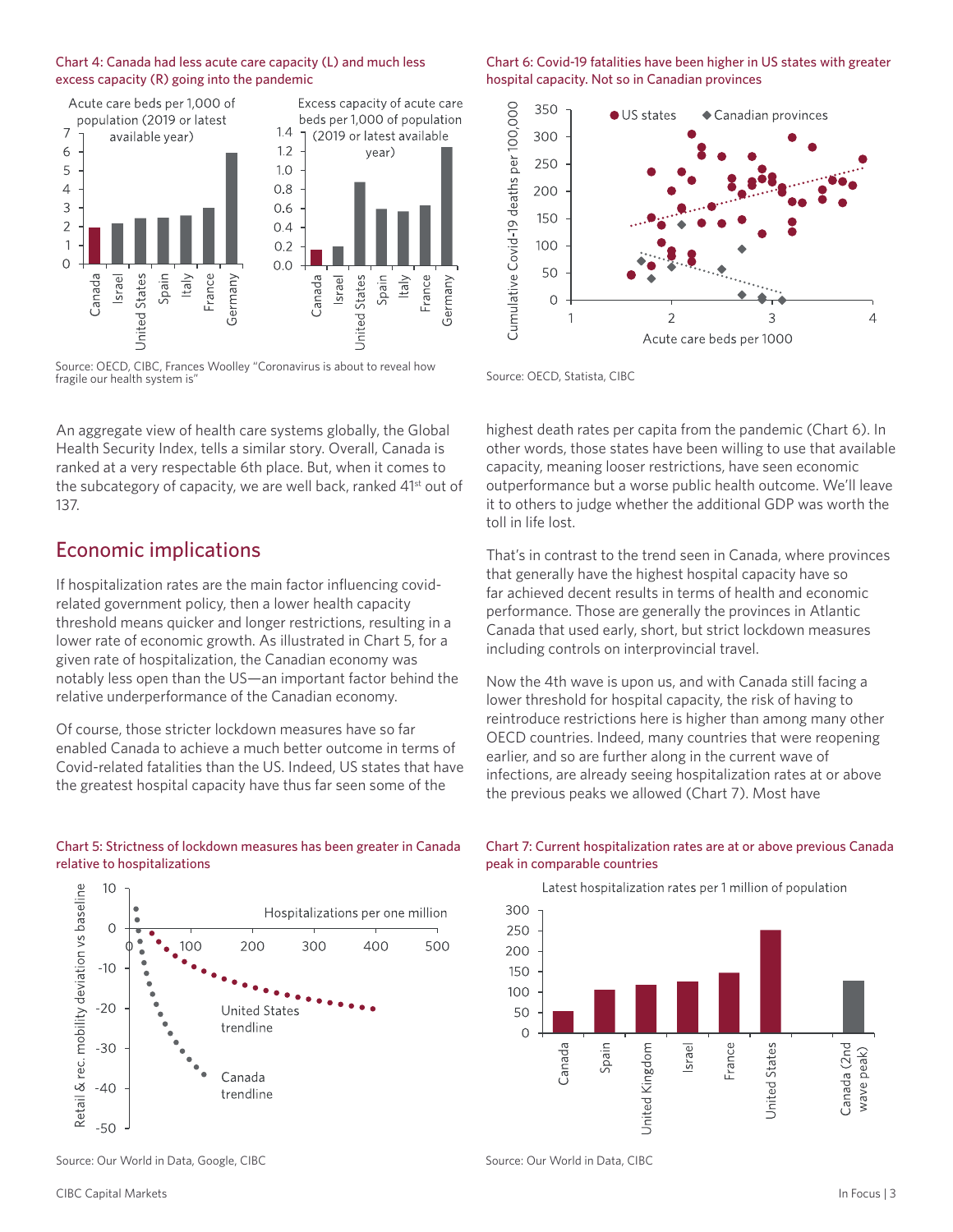#### Chart 4: Canada had less acute care capacity (L) and much less excess capacity (R) going into the pandemic



Source: OECD, CIBC, Frances Woolley "Coronavirus is about to reveal how fragile our health system is"

An aggregate view of health care systems globally, the Global Health Security Index, tells a similar story. Overall, Canada is ranked at a very respectable 6th place. But, when it comes to the subcategory of capacity, we are well back, ranked 41<sup>st</sup> out of 137.

## Economic implications

If hospitalization rates are the main factor influencing covidrelated government policy, then a lower health capacity threshold means quicker and longer restrictions, resulting in a lower rate of economic growth. As illustrated in Chart 5, for a given rate of hospitalization, the Canadian economy was notably less open than the US—an important factor behind the relative underperformance of the Canadian economy.

Of course, those stricter lockdown measures have so far enabled Canada to achieve a much better outcome in terms of Covid-related fatalities than the US. Indeed, US states that have the greatest hospital capacity have thus far seen some of the

#### Chart 5: Strictness of lockdown measures has been greater in Canada relative to hospitalizations



#### Chart 6: Covid-19 fatalities have been higher in US states with greater hospital capacity. Not so in Canadian provinces



Source: OECD, Statista, CIBC

Germany

highest death rates per capita from the pandemic (Chart 6). In other words, those states have been willing to use that available capacity, meaning looser restrictions, have seen economic outperformance but a worse public health outcome. We'll leave it to others to judge whether the additional GDP was worth the toll in life lost.

That's in contrast to the trend seen in Canada, where provinces that generally have the highest hospital capacity have so far achieved decent results in terms of health and economic performance. Those are generally the provinces in Atlantic Canada that used early, short, but strict lockdown measures including controls on interprovincial travel.

Now the 4th wave is upon us, and with Canada still facing a lower threshold for hospital capacity, the risk of having to reintroduce restrictions here is higher than among many other OECD countries. Indeed, many countries that were reopening earlier, and so are further along in the current wave of infections, are already seeing hospitalization rates at or above the previous peaks we allowed (Chart 7). Most have

#### Chart 7: Current hospitalization rates are at or above previous Canada peak in comparable countries



Source: Our World in Data, Google, CIBC

Source: Our World in Data, CIBC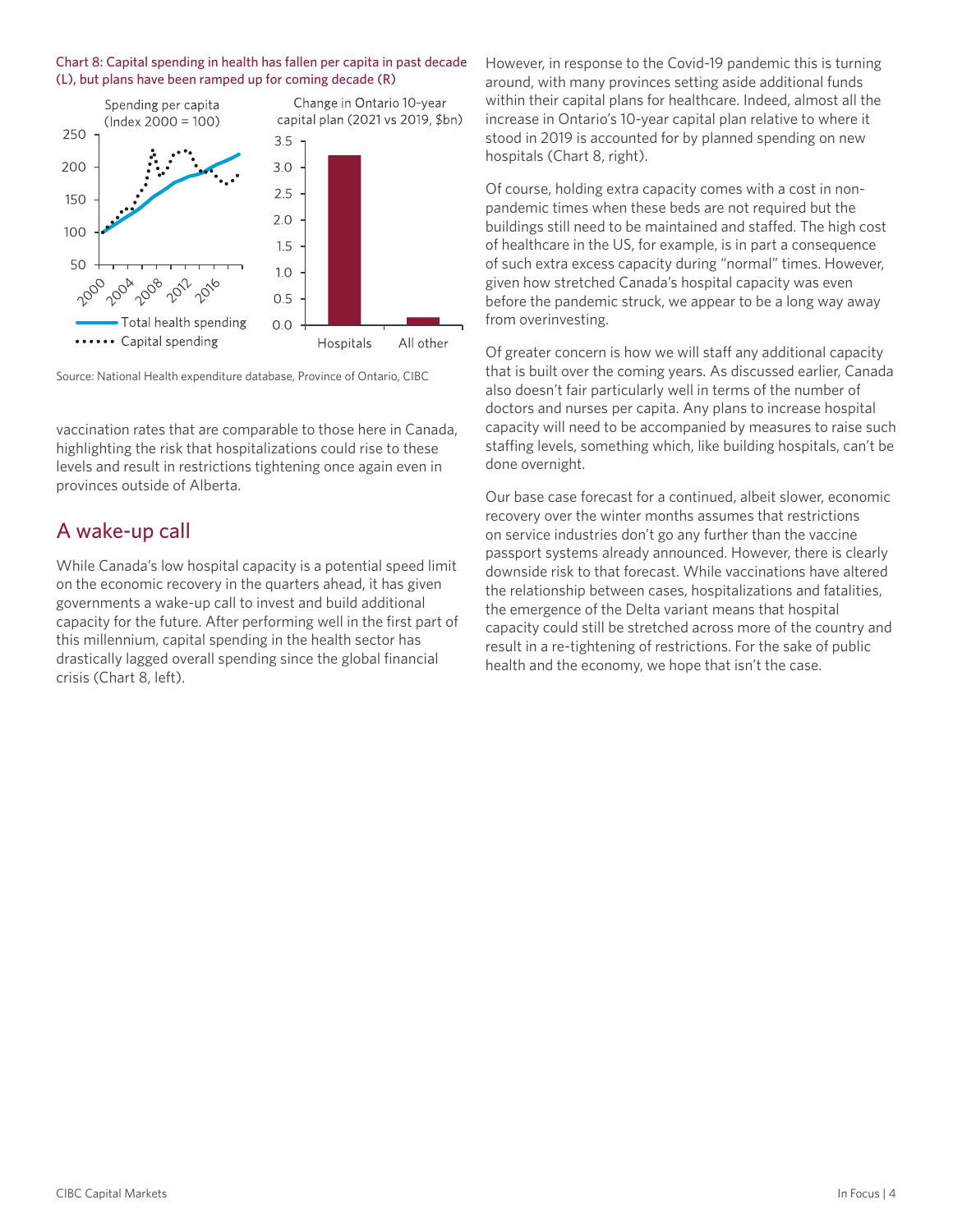



Source: National Health expenditure database, Province of Ontario, CIBC

vaccination rates that are comparable to those here in Canada, highlighting the risk that hospitalizations could rise to these levels and result in restrictions tightening once again even in provinces outside of Alberta.

### A wake-up call

While Canada's low hospital capacity is a potential speed limit on the economic recovery in the quarters ahead, it has given governments a wake-up call to invest and build additional capacity for the future. After performing well in the first part of this millennium, capital spending in the health sector has drastically lagged overall spending since the global financial crisis (Chart 8, left).

However, in response to the Covid-19 pandemic this is turning around, with many provinces setting aside additional funds within their capital plans for healthcare. Indeed, almost all the increase in Ontario's 10-year capital plan relative to where it stood in 2019 is accounted for by planned spending on new hospitals (Chart 8, right).

Of course, holding extra capacity comes with a cost in nonpandemic times when these beds are not required but the buildings still need to be maintained and staffed. The high cost of healthcare in the US, for example, is in part a consequence of such extra excess capacity during "normal" times. However, given how stretched Canada's hospital capacity was even before the pandemic struck, we appear to be a long way away from overinvesting.

Of greater concern is how we will staff any additional capacity that is built over the coming years. As discussed earlier, Canada also doesn't fair particularly well in terms of the number of doctors and nurses per capita. Any plans to increase hospital capacity will need to be accompanied by measures to raise such staffing levels, something which, like building hospitals, can't be done overnight.

Our base case forecast for a continued, albeit slower, economic recovery over the winter months assumes that restrictions on service industries don't go any further than the vaccine passport systems already announced. However, there is clearly downside risk to that forecast. While vaccinations have altered the relationship between cases, hospitalizations and fatalities, the emergence of the Delta variant means that hospital capacity could still be stretched across more of the country and result in a re-tightening of restrictions. For the sake of public health and the economy, we hope that isn't the case.